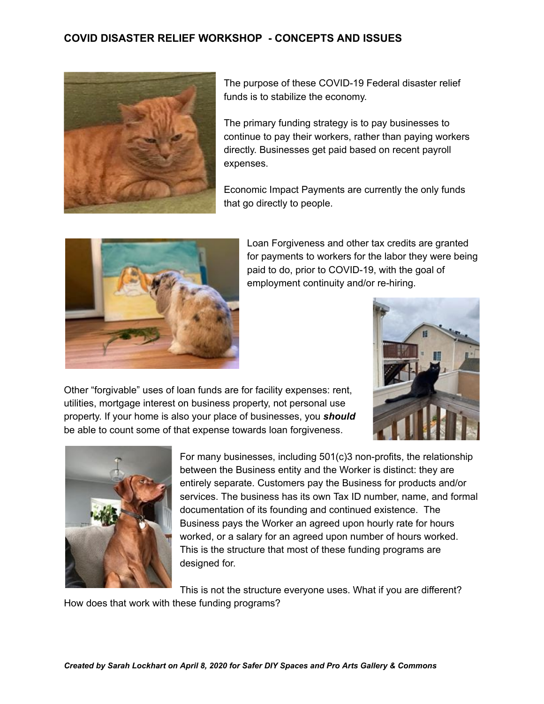## **COVID DISASTER RELIEF WORKSHOP - CONCEPTS AND ISSUES**



The purpose of these COVID-19 Federal disaster relief funds is to stabilize the economy.

The primary funding strategy is to pay businesses to continue to pay their workers, rather than paying workers directly. Businesses get paid based on recent payroll expenses.

Economic Impact Payments are currently the only funds that go directly to people.



Loan Forgiveness and other tax credits are granted for payments to workers for the labor they were being paid to do, prior to COVID-19, with the goal of employment continuity and/or re-hiring.

Other "forgivable" uses of loan funds are for facility expenses: rent, utilities, mortgage interest on business property, not personal use property. If your home is also your place of businesses, you *should* be able to count some of that expense towards loan forgiveness.





For many businesses, including 501(c)3 non-profits, the relationship between the Business entity and the Worker is distinct: they are entirely separate. Customers pay the Business for products and/or services. The business has its own Tax ID number, name, and formal documentation of its founding and continued existence. The Business pays the Worker an agreed upon hourly rate for hours worked, or a salary for an agreed upon number of hours worked. This is the structure that most of these funding programs are designed for.

This is not the structure everyone uses. What if you are different?

How does that work with these funding programs?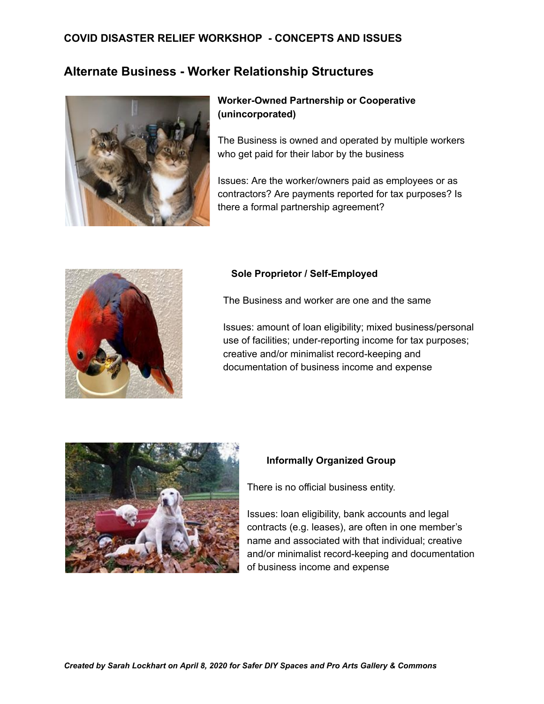# **COVID DISASTER RELIEF WORKSHOP - CONCEPTS AND ISSUES**

# **Alternate Business - Worker Relationship Structures**



## **Worker-Owned Partnership or Cooperative (unincorporated)**

The Business is owned and operated by multiple workers who get paid for their labor by the business

Issues: Are the worker/owners paid as employees or as contractors? Are payments reported for tax purposes? Is there a formal partnership agreement?



### **Sole Proprietor / Self-Employed**

The Business and worker are one and the same

Issues: amount of loan eligibility; mixed business/personal use of facilities; under-reporting income for tax purposes; creative and/or minimalist record-keeping and documentation of business income and expense



### **Informally Organized Group**

There is no official business entity.

Issues: loan eligibility, bank accounts and legal contracts (e.g. leases), are often in one member's name and associated with that individual; creative and/or minimalist record-keeping and documentation of business income and expense